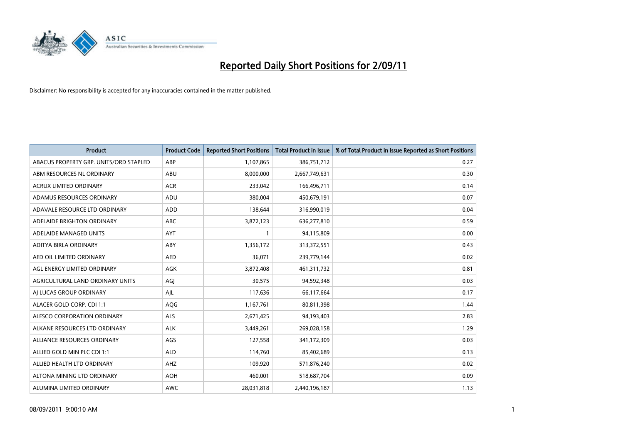

| <b>Product</b>                         | <b>Product Code</b> | <b>Reported Short Positions</b> | Total Product in Issue | % of Total Product in Issue Reported as Short Positions |
|----------------------------------------|---------------------|---------------------------------|------------------------|---------------------------------------------------------|
| ABACUS PROPERTY GRP. UNITS/ORD STAPLED | ABP                 | 1,107,865                       | 386,751,712            | 0.27                                                    |
| ABM RESOURCES NL ORDINARY              | ABU                 | 8,000,000                       | 2,667,749,631          | 0.30                                                    |
| <b>ACRUX LIMITED ORDINARY</b>          | <b>ACR</b>          | 233,042                         | 166,496,711            | 0.14                                                    |
| ADAMUS RESOURCES ORDINARY              | ADU                 | 380,004                         | 450,679,191            | 0.07                                                    |
| ADAVALE RESOURCE LTD ORDINARY          | <b>ADD</b>          | 138,644                         | 316,990,019            | 0.04                                                    |
| ADELAIDE BRIGHTON ORDINARY             | <b>ABC</b>          | 3,872,123                       | 636,277,810            | 0.59                                                    |
| ADELAIDE MANAGED UNITS                 | <b>AYT</b>          |                                 | 94,115,809             | 0.00                                                    |
| ADITYA BIRLA ORDINARY                  | ABY                 | 1,356,172                       | 313,372,551            | 0.43                                                    |
| AED OIL LIMITED ORDINARY               | <b>AED</b>          | 36,071                          | 239,779,144            | 0.02                                                    |
| AGL ENERGY LIMITED ORDINARY            | <b>AGK</b>          | 3,872,408                       | 461,311,732            | 0.81                                                    |
| AGRICULTURAL LAND ORDINARY UNITS       | AGJ                 | 30,575                          | 94,592,348             | 0.03                                                    |
| AI LUCAS GROUP ORDINARY                | AJL                 | 117,636                         | 66,117,664             | 0.17                                                    |
| ALACER GOLD CORP. CDI 1:1              | AQG                 | 1,167,761                       | 80,811,398             | 1.44                                                    |
| ALESCO CORPORATION ORDINARY            | <b>ALS</b>          | 2,671,425                       | 94,193,403             | 2.83                                                    |
| ALKANE RESOURCES LTD ORDINARY          | <b>ALK</b>          | 3,449,261                       | 269,028,158            | 1.29                                                    |
| ALLIANCE RESOURCES ORDINARY            | AGS                 | 127,558                         | 341,172,309            | 0.03                                                    |
| ALLIED GOLD MIN PLC CDI 1:1            | <b>ALD</b>          | 114,760                         | 85,402,689             | 0.13                                                    |
| ALLIED HEALTH LTD ORDINARY             | AHZ                 | 109,920                         | 571,876,240            | 0.02                                                    |
| ALTONA MINING LTD ORDINARY             | <b>AOH</b>          | 460,001                         | 518,687,704            | 0.09                                                    |
| ALUMINA LIMITED ORDINARY               | <b>AWC</b>          | 28,031,818                      | 2,440,196,187          | 1.13                                                    |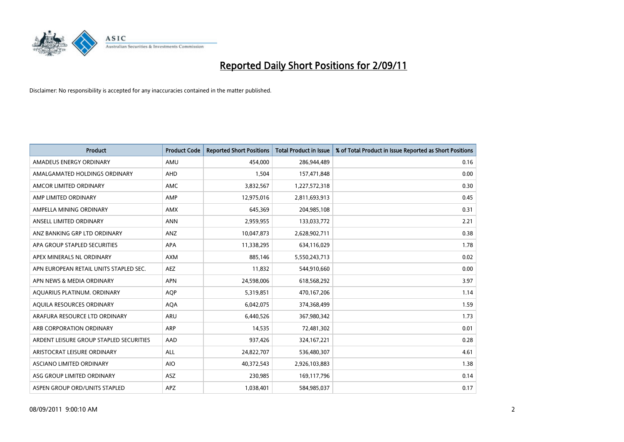

| <b>Product</b>                          | <b>Product Code</b> | <b>Reported Short Positions</b> | <b>Total Product in Issue</b> | % of Total Product in Issue Reported as Short Positions |
|-----------------------------------------|---------------------|---------------------------------|-------------------------------|---------------------------------------------------------|
| AMADEUS ENERGY ORDINARY                 | AMU                 | 454,000                         | 286,944,489                   | 0.16                                                    |
| AMALGAMATED HOLDINGS ORDINARY           | AHD                 | 1,504                           | 157,471,848                   | 0.00                                                    |
| AMCOR LIMITED ORDINARY                  | <b>AMC</b>          | 3,832,567                       | 1,227,572,318                 | 0.30                                                    |
| AMP LIMITED ORDINARY                    | AMP                 | 12,975,016                      | 2,811,693,913                 | 0.45                                                    |
| AMPELLA MINING ORDINARY                 | <b>AMX</b>          | 645,369                         | 204,985,108                   | 0.31                                                    |
| ANSELL LIMITED ORDINARY                 | <b>ANN</b>          | 2,959,955                       | 133,033,772                   | 2.21                                                    |
| ANZ BANKING GRP LTD ORDINARY            | ANZ                 | 10,047,873                      | 2,628,902,711                 | 0.38                                                    |
| APA GROUP STAPLED SECURITIES            | APA                 | 11,338,295                      | 634,116,029                   | 1.78                                                    |
| APEX MINERALS NL ORDINARY               | <b>AXM</b>          | 885,146                         | 5,550,243,713                 | 0.02                                                    |
| APN EUROPEAN RETAIL UNITS STAPLED SEC.  | <b>AEZ</b>          | 11,832                          | 544,910,660                   | 0.00                                                    |
| APN NEWS & MEDIA ORDINARY               | <b>APN</b>          | 24,598,006                      | 618,568,292                   | 3.97                                                    |
| AQUARIUS PLATINUM. ORDINARY             | <b>AOP</b>          | 5,319,851                       | 470,167,206                   | 1.14                                                    |
| AQUILA RESOURCES ORDINARY               | <b>AQA</b>          | 6,042,075                       | 374,368,499                   | 1.59                                                    |
| ARAFURA RESOURCE LTD ORDINARY           | <b>ARU</b>          | 6,440,526                       | 367,980,342                   | 1.73                                                    |
| ARB CORPORATION ORDINARY                | ARP                 | 14,535                          | 72,481,302                    | 0.01                                                    |
| ARDENT LEISURE GROUP STAPLED SECURITIES | AAD                 | 937,426                         | 324, 167, 221                 | 0.28                                                    |
| ARISTOCRAT LEISURE ORDINARY             | <b>ALL</b>          | 24,822,707                      | 536,480,307                   | 4.61                                                    |
| ASCIANO LIMITED ORDINARY                | <b>AIO</b>          | 40,372,543                      | 2,926,103,883                 | 1.38                                                    |
| ASG GROUP LIMITED ORDINARY              | <b>ASZ</b>          | 230,985                         | 169,117,796                   | 0.14                                                    |
| ASPEN GROUP ORD/UNITS STAPLED           | <b>APZ</b>          | 1,038,401                       | 584,985,037                   | 0.17                                                    |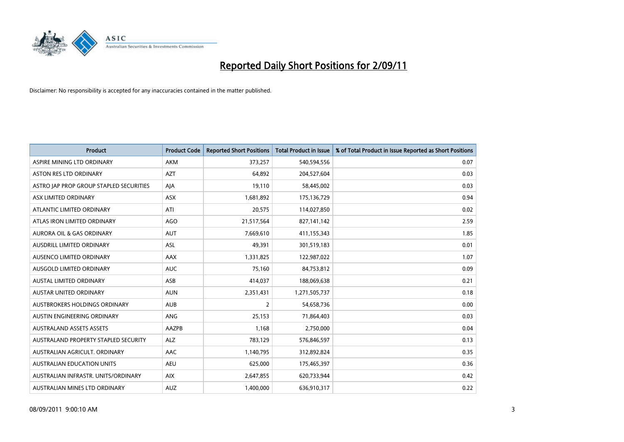

| <b>Product</b>                          | <b>Product Code</b> | <b>Reported Short Positions</b> | Total Product in Issue | % of Total Product in Issue Reported as Short Positions |
|-----------------------------------------|---------------------|---------------------------------|------------------------|---------------------------------------------------------|
| ASPIRE MINING LTD ORDINARY              | <b>AKM</b>          | 373,257                         | 540,594,556            | 0.07                                                    |
| ASTON RES LTD ORDINARY                  | <b>AZT</b>          | 64,892                          | 204,527,604            | 0.03                                                    |
| ASTRO JAP PROP GROUP STAPLED SECURITIES | AJA                 | 19,110                          | 58,445,002             | 0.03                                                    |
| ASX LIMITED ORDINARY                    | ASX                 | 1,681,892                       | 175,136,729            | 0.94                                                    |
| ATLANTIC LIMITED ORDINARY               | ATI                 | 20,575                          | 114,027,850            | 0.02                                                    |
| ATLAS IRON LIMITED ORDINARY             | <b>AGO</b>          | 21,517,564                      | 827,141,142            | 2.59                                                    |
| AURORA OIL & GAS ORDINARY               | <b>AUT</b>          | 7,669,610                       | 411,155,343            | 1.85                                                    |
| AUSDRILL LIMITED ORDINARY               | <b>ASL</b>          | 49,391                          | 301,519,183            | 0.01                                                    |
| AUSENCO LIMITED ORDINARY                | AAX                 | 1,331,825                       | 122,987,022            | 1.07                                                    |
| AUSGOLD LIMITED ORDINARY                | <b>AUC</b>          | 75,160                          | 84,753,812             | 0.09                                                    |
| <b>AUSTAL LIMITED ORDINARY</b>          | ASB                 | 414,037                         | 188,069,638            | 0.21                                                    |
| <b>AUSTAR UNITED ORDINARY</b>           | <b>AUN</b>          | 2,351,431                       | 1,271,505,737          | 0.18                                                    |
| AUSTBROKERS HOLDINGS ORDINARY           | <b>AUB</b>          | $\overline{2}$                  | 54,658,736             | 0.00                                                    |
| AUSTIN ENGINEERING ORDINARY             | ANG                 | 25,153                          | 71,864,403             | 0.03                                                    |
| <b>AUSTRALAND ASSETS ASSETS</b>         | AAZPB               | 1,168                           | 2,750,000              | 0.04                                                    |
| AUSTRALAND PROPERTY STAPLED SECURITY    | <b>ALZ</b>          | 783,129                         | 576,846,597            | 0.13                                                    |
| AUSTRALIAN AGRICULT, ORDINARY           | AAC                 | 1,140,795                       | 312,892,824            | 0.35                                                    |
| AUSTRALIAN EDUCATION UNITS              | <b>AEU</b>          | 625,000                         | 175,465,397            | 0.36                                                    |
| AUSTRALIAN INFRASTR, UNITS/ORDINARY     | <b>AIX</b>          | 2,647,855                       | 620,733,944            | 0.42                                                    |
| AUSTRALIAN MINES LTD ORDINARY           | <b>AUZ</b>          | 1,400,000                       | 636,910,317            | 0.22                                                    |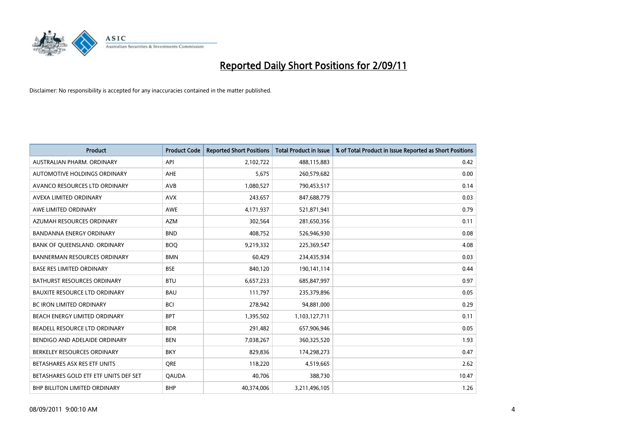

| <b>Product</b>                        | <b>Product Code</b> | <b>Reported Short Positions</b> | <b>Total Product in Issue</b> | % of Total Product in Issue Reported as Short Positions |
|---------------------------------------|---------------------|---------------------------------|-------------------------------|---------------------------------------------------------|
| AUSTRALIAN PHARM, ORDINARY            | API                 | 2,102,722                       | 488,115,883                   | 0.42                                                    |
| AUTOMOTIVE HOLDINGS ORDINARY          | <b>AHE</b>          | 5,675                           | 260,579,682                   | 0.00                                                    |
| AVANCO RESOURCES LTD ORDINARY         | AVB                 | 1,080,527                       | 790,453,517                   | 0.14                                                    |
| AVEXA LIMITED ORDINARY                | <b>AVX</b>          | 243,657                         | 847,688,779                   | 0.03                                                    |
| AWE LIMITED ORDINARY                  | <b>AWE</b>          | 4,171,937                       | 521,871,941                   | 0.79                                                    |
| AZUMAH RESOURCES ORDINARY             | <b>AZM</b>          | 302,564                         | 281,650,356                   | 0.11                                                    |
| <b>BANDANNA ENERGY ORDINARY</b>       | <b>BND</b>          | 408,752                         | 526,946,930                   | 0.08                                                    |
| BANK OF QUEENSLAND. ORDINARY          | <b>BOQ</b>          | 9,219,332                       | 225,369,547                   | 4.08                                                    |
| <b>BANNERMAN RESOURCES ORDINARY</b>   | <b>BMN</b>          | 60,429                          | 234,435,934                   | 0.03                                                    |
| <b>BASE RES LIMITED ORDINARY</b>      | <b>BSE</b>          | 840,120                         | 190,141,114                   | 0.44                                                    |
| <b>BATHURST RESOURCES ORDINARY</b>    | <b>BTU</b>          | 6,657,233                       | 685,847,997                   | 0.97                                                    |
| <b>BAUXITE RESOURCE LTD ORDINARY</b>  | <b>BAU</b>          | 111,797                         | 235,379,896                   | 0.05                                                    |
| <b>BC IRON LIMITED ORDINARY</b>       | <b>BCI</b>          | 278,942                         | 94,881,000                    | 0.29                                                    |
| BEACH ENERGY LIMITED ORDINARY         | <b>BPT</b>          | 1,395,502                       | 1,103,127,711                 | 0.11                                                    |
| BEADELL RESOURCE LTD ORDINARY         | <b>BDR</b>          | 291,482                         | 657,906,946                   | 0.05                                                    |
| BENDIGO AND ADELAIDE ORDINARY         | <b>BEN</b>          | 7,038,267                       | 360,325,520                   | 1.93                                                    |
| BERKELEY RESOURCES ORDINARY           | <b>BKY</b>          | 829,836                         | 174,298,273                   | 0.47                                                    |
| BETASHARES ASX RES ETF UNITS          | <b>ORE</b>          | 118,220                         | 4,519,665                     | 2.62                                                    |
| BETASHARES GOLD ETF ETF UNITS DEF SET | <b>QAUDA</b>        | 40,706                          | 388,730                       | 10.47                                                   |
| BHP BILLITON LIMITED ORDINARY         | <b>BHP</b>          | 40,374,006                      | 3,211,496,105                 | 1.26                                                    |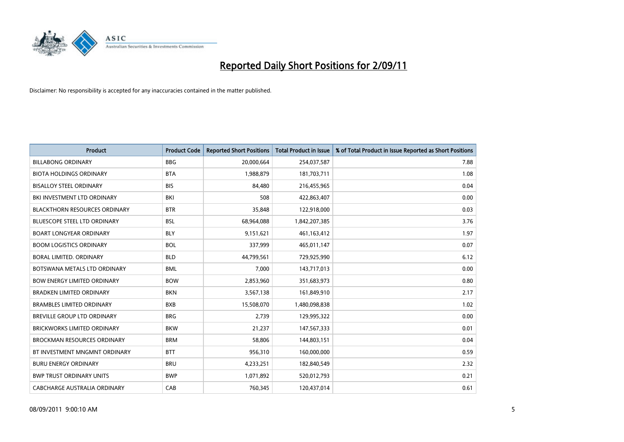

| <b>Product</b>                       | <b>Product Code</b> | <b>Reported Short Positions</b> | <b>Total Product in Issue</b> | % of Total Product in Issue Reported as Short Positions |
|--------------------------------------|---------------------|---------------------------------|-------------------------------|---------------------------------------------------------|
| <b>BILLABONG ORDINARY</b>            | <b>BBG</b>          | 20,000,664                      | 254,037,587                   | 7.88                                                    |
| <b>BIOTA HOLDINGS ORDINARY</b>       | <b>BTA</b>          | 1,988,879                       | 181,703,711                   | 1.08                                                    |
| <b>BISALLOY STEEL ORDINARY</b>       | <b>BIS</b>          | 84,480                          | 216,455,965                   | 0.04                                                    |
| BKI INVESTMENT LTD ORDINARY          | BKI                 | 508                             | 422,863,407                   | 0.00                                                    |
| <b>BLACKTHORN RESOURCES ORDINARY</b> | <b>BTR</b>          | 35,848                          | 122,918,000                   | 0.03                                                    |
| <b>BLUESCOPE STEEL LTD ORDINARY</b>  | <b>BSL</b>          | 68,964,088                      | 1,842,207,385                 | 3.76                                                    |
| <b>BOART LONGYEAR ORDINARY</b>       | <b>BLY</b>          | 9,151,621                       | 461, 163, 412                 | 1.97                                                    |
| <b>BOOM LOGISTICS ORDINARY</b>       | <b>BOL</b>          | 337,999                         | 465,011,147                   | 0.07                                                    |
| BORAL LIMITED. ORDINARY              | <b>BLD</b>          | 44,799,561                      | 729,925,990                   | 6.12                                                    |
| BOTSWANA METALS LTD ORDINARY         | <b>BML</b>          | 7,000                           | 143,717,013                   | 0.00                                                    |
| <b>BOW ENERGY LIMITED ORDINARY</b>   | <b>BOW</b>          | 2,853,960                       | 351,683,973                   | 0.80                                                    |
| <b>BRADKEN LIMITED ORDINARY</b>      | <b>BKN</b>          | 3,567,138                       | 161,849,910                   | 2.17                                                    |
| <b>BRAMBLES LIMITED ORDINARY</b>     | <b>BXB</b>          | 15,508,070                      | 1,480,098,838                 | 1.02                                                    |
| <b>BREVILLE GROUP LTD ORDINARY</b>   | <b>BRG</b>          | 2,739                           | 129,995,322                   | 0.00                                                    |
| <b>BRICKWORKS LIMITED ORDINARY</b>   | <b>BKW</b>          | 21,237                          | 147,567,333                   | 0.01                                                    |
| <b>BROCKMAN RESOURCES ORDINARY</b>   | <b>BRM</b>          | 58,806                          | 144,803,151                   | 0.04                                                    |
| BT INVESTMENT MNGMNT ORDINARY        | <b>BTT</b>          | 956,310                         | 160,000,000                   | 0.59                                                    |
| <b>BURU ENERGY ORDINARY</b>          | <b>BRU</b>          | 4,233,251                       | 182,840,549                   | 2.32                                                    |
| <b>BWP TRUST ORDINARY UNITS</b>      | <b>BWP</b>          | 1,071,892                       | 520,012,793                   | 0.21                                                    |
| CABCHARGE AUSTRALIA ORDINARY         | CAB                 | 760,345                         | 120,437,014                   | 0.61                                                    |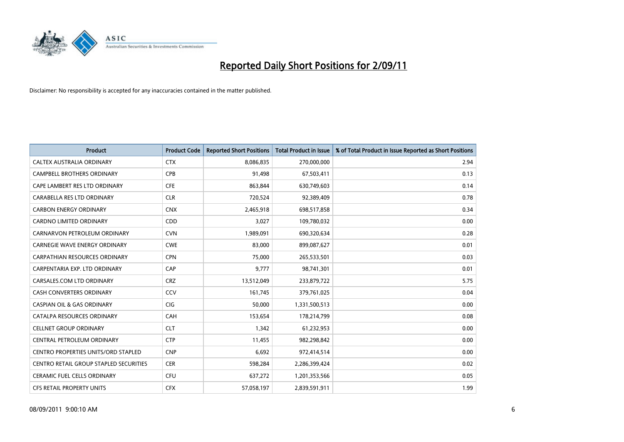

| <b>Product</b>                             | <b>Product Code</b> | <b>Reported Short Positions</b> | Total Product in Issue | % of Total Product in Issue Reported as Short Positions |
|--------------------------------------------|---------------------|---------------------------------|------------------------|---------------------------------------------------------|
| <b>CALTEX AUSTRALIA ORDINARY</b>           | <b>CTX</b>          | 8,086,835                       | 270,000,000            | 2.94                                                    |
| <b>CAMPBELL BROTHERS ORDINARY</b>          | <b>CPB</b>          | 91,498                          | 67,503,411             | 0.13                                                    |
| CAPE LAMBERT RES LTD ORDINARY              | <b>CFE</b>          | 863,844                         | 630,749,603            | 0.14                                                    |
| CARABELLA RES LTD ORDINARY                 | <b>CLR</b>          | 720,524                         | 92,389,409             | 0.78                                                    |
| <b>CARBON ENERGY ORDINARY</b>              | <b>CNX</b>          | 2,465,918                       | 698,517,858            | 0.34                                                    |
| <b>CARDNO LIMITED ORDINARY</b>             | CDD                 | 3,027                           | 109,780,032            | 0.00                                                    |
| CARNARVON PETROLEUM ORDINARY               | <b>CVN</b>          | 1,989,091                       | 690,320,634            | 0.28                                                    |
| <b>CARNEGIE WAVE ENERGY ORDINARY</b>       | <b>CWE</b>          | 83,000                          | 899,087,627            | 0.01                                                    |
| CARPATHIAN RESOURCES ORDINARY              | <b>CPN</b>          | 75,000                          | 265,533,501            | 0.03                                                    |
| CARPENTARIA EXP. LTD ORDINARY              | CAP                 | 9.777                           | 98,741,301             | 0.01                                                    |
| CARSALES.COM LTD ORDINARY                  | <b>CRZ</b>          | 13,512,049                      | 233,879,722            | 5.75                                                    |
| <b>CASH CONVERTERS ORDINARY</b>            | CCV                 | 161,745                         | 379,761,025            | 0.04                                                    |
| <b>CASPIAN OIL &amp; GAS ORDINARY</b>      | <b>CIG</b>          | 50.000                          | 1,331,500,513          | 0.00                                                    |
| CATALPA RESOURCES ORDINARY                 | CAH                 | 153,654                         | 178,214,799            | 0.08                                                    |
| <b>CELLNET GROUP ORDINARY</b>              | <b>CLT</b>          | 1,342                           | 61,232,953             | 0.00                                                    |
| CENTRAL PETROLEUM ORDINARY                 | <b>CTP</b>          | 11,455                          | 982,298,842            | 0.00                                                    |
| <b>CENTRO PROPERTIES UNITS/ORD STAPLED</b> | <b>CNP</b>          | 6,692                           | 972,414,514            | 0.00                                                    |
| CENTRO RETAIL GROUP STAPLED SECURITIES     | <b>CER</b>          | 598,284                         | 2,286,399,424          | 0.02                                                    |
| <b>CERAMIC FUEL CELLS ORDINARY</b>         | <b>CFU</b>          | 637,272                         | 1,201,353,566          | 0.05                                                    |
| <b>CFS RETAIL PROPERTY UNITS</b>           | <b>CFX</b>          | 57,058,197                      | 2,839,591,911          | 1.99                                                    |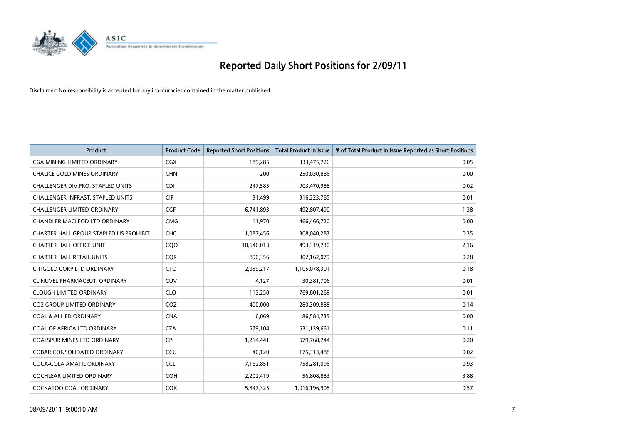

| Product                                 | <b>Product Code</b> | <b>Reported Short Positions</b> | <b>Total Product in Issue</b> | % of Total Product in Issue Reported as Short Positions |
|-----------------------------------------|---------------------|---------------------------------|-------------------------------|---------------------------------------------------------|
| <b>CGA MINING LIMITED ORDINARY</b>      | <b>CGX</b>          | 189,285                         | 333,475,726                   | 0.05                                                    |
| <b>CHALICE GOLD MINES ORDINARY</b>      | <b>CHN</b>          | 200                             | 250,030,886                   | 0.00                                                    |
| CHALLENGER DIV.PRO. STAPLED UNITS       | <b>CDI</b>          | 247,585                         | 903,470,988                   | 0.02                                                    |
| CHALLENGER INFRAST. STAPLED UNITS       | <b>CIF</b>          | 31,499                          | 316,223,785                   | 0.01                                                    |
| <b>CHALLENGER LIMITED ORDINARY</b>      | CGF                 | 6,741,893                       | 492,807,490                   | 1.38                                                    |
| <b>CHANDLER MACLEOD LTD ORDINARY</b>    | <b>CMG</b>          | 11,970                          | 466,466,720                   | 0.00                                                    |
| CHARTER HALL GROUP STAPLED US PROHIBIT. | <b>CHC</b>          | 1,087,456                       | 308,040,283                   | 0.35                                                    |
| <b>CHARTER HALL OFFICE UNIT</b>         | CQ <sub>O</sub>     | 10,646,013                      | 493,319,730                   | 2.16                                                    |
| <b>CHARTER HALL RETAIL UNITS</b>        | <b>CQR</b>          | 890,356                         | 302,162,079                   | 0.28                                                    |
| CITIGOLD CORP LTD ORDINARY              | <b>CTO</b>          | 2,059,217                       | 1,105,078,301                 | 0.18                                                    |
| CLINUVEL PHARMACEUT, ORDINARY           | CUV                 | 4,127                           | 30,381,706                    | 0.01                                                    |
| <b>CLOUGH LIMITED ORDINARY</b>          | <b>CLO</b>          | 113,250                         | 769,801,269                   | 0.01                                                    |
| <b>CO2 GROUP LIMITED ORDINARY</b>       | COZ                 | 400.000                         | 280,309,888                   | 0.14                                                    |
| <b>COAL &amp; ALLIED ORDINARY</b>       | <b>CNA</b>          | 6.069                           | 86,584,735                    | 0.00                                                    |
| COAL OF AFRICA LTD ORDINARY             | <b>CZA</b>          | 579,104                         | 531,139,661                   | 0.11                                                    |
| <b>COALSPUR MINES LTD ORDINARY</b>      | <b>CPL</b>          | 1,214,441                       | 579,768,744                   | 0.20                                                    |
| <b>COBAR CONSOLIDATED ORDINARY</b>      | CCU                 | 40,120                          | 175,313,488                   | 0.02                                                    |
| COCA-COLA AMATIL ORDINARY               | <b>CCL</b>          | 7,162,851                       | 758,281,096                   | 0.93                                                    |
| <b>COCHLEAR LIMITED ORDINARY</b>        | <b>COH</b>          | 2,202,419                       | 56,808,883                    | 3.88                                                    |
| <b>COCKATOO COAL ORDINARY</b>           | <b>COK</b>          | 5,847,325                       | 1,016,196,908                 | 0.57                                                    |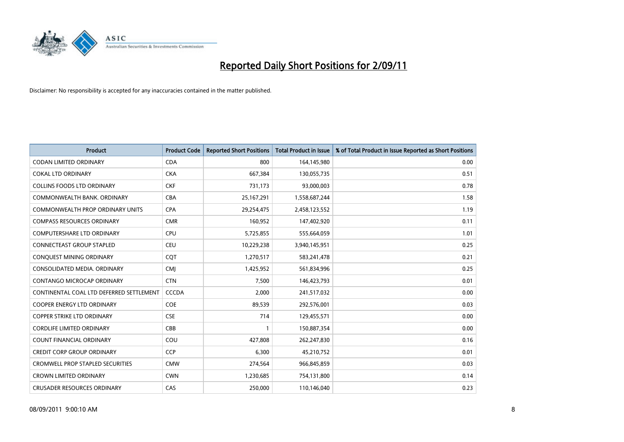

| Product                                  | <b>Product Code</b> | <b>Reported Short Positions</b> | Total Product in Issue | % of Total Product in Issue Reported as Short Positions |
|------------------------------------------|---------------------|---------------------------------|------------------------|---------------------------------------------------------|
| <b>CODAN LIMITED ORDINARY</b>            | <b>CDA</b>          | 800                             | 164,145,980            | 0.00                                                    |
| <b>COKAL LTD ORDINARY</b>                | <b>CKA</b>          | 667,384                         | 130,055,735            | 0.51                                                    |
| <b>COLLINS FOODS LTD ORDINARY</b>        | <b>CKF</b>          | 731,173                         | 93,000,003             | 0.78                                                    |
| COMMONWEALTH BANK, ORDINARY              | <b>CBA</b>          | 25,167,291                      | 1,558,687,244          | 1.58                                                    |
| <b>COMMONWEALTH PROP ORDINARY UNITS</b>  | <b>CPA</b>          | 29,254,475                      | 2,458,123,552          | 1.19                                                    |
| <b>COMPASS RESOURCES ORDINARY</b>        | <b>CMR</b>          | 160,952                         | 147,402,920            | 0.11                                                    |
| <b>COMPUTERSHARE LTD ORDINARY</b>        | <b>CPU</b>          | 5,725,855                       | 555,664,059            | 1.01                                                    |
| <b>CONNECTEAST GROUP STAPLED</b>         | <b>CEU</b>          | 10,229,238                      | 3,940,145,951          | 0.25                                                    |
| CONQUEST MINING ORDINARY                 | CQT                 | 1,270,517                       | 583,241,478            | 0.21                                                    |
| CONSOLIDATED MEDIA, ORDINARY             | <b>CMI</b>          | 1,425,952                       | 561,834,996            | 0.25                                                    |
| CONTANGO MICROCAP ORDINARY               | <b>CTN</b>          | 7,500                           | 146,423,793            | 0.01                                                    |
| CONTINENTAL COAL LTD DEFERRED SETTLEMENT | <b>CCCDA</b>        | 2,000                           | 241,517,032            | 0.00                                                    |
| <b>COOPER ENERGY LTD ORDINARY</b>        | <b>COE</b>          | 89,539                          | 292,576,001            | 0.03                                                    |
| <b>COPPER STRIKE LTD ORDINARY</b>        | <b>CSE</b>          | 714                             | 129,455,571            | 0.00                                                    |
| <b>CORDLIFE LIMITED ORDINARY</b>         | <b>CBB</b>          |                                 | 150,887,354            | 0.00                                                    |
| <b>COUNT FINANCIAL ORDINARY</b>          | COU                 | 427,808                         | 262,247,830            | 0.16                                                    |
| <b>CREDIT CORP GROUP ORDINARY</b>        | <b>CCP</b>          | 6,300                           | 45,210,752             | 0.01                                                    |
| <b>CROMWELL PROP STAPLED SECURITIES</b>  | <b>CMW</b>          | 274,564                         | 966,845,859            | 0.03                                                    |
| <b>CROWN LIMITED ORDINARY</b>            | <b>CWN</b>          | 1,230,685                       | 754,131,800            | 0.14                                                    |
| <b>CRUSADER RESOURCES ORDINARY</b>       | CAS                 | 250.000                         | 110,146,040            | 0.23                                                    |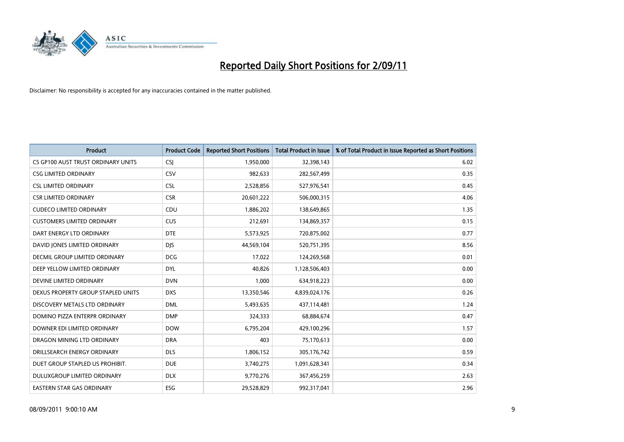

| <b>Product</b>                       | <b>Product Code</b> | <b>Reported Short Positions</b> | Total Product in Issue | % of Total Product in Issue Reported as Short Positions |
|--------------------------------------|---------------------|---------------------------------|------------------------|---------------------------------------------------------|
| CS GP100 AUST TRUST ORDINARY UNITS   | <b>CSJ</b>          | 1,950,000                       | 32,398,143             | 6.02                                                    |
| <b>CSG LIMITED ORDINARY</b>          | CSV                 | 982,633                         | 282,567,499            | 0.35                                                    |
| <b>CSL LIMITED ORDINARY</b>          | <b>CSL</b>          | 2,528,856                       | 527,976,541            | 0.45                                                    |
| <b>CSR LIMITED ORDINARY</b>          | <b>CSR</b>          | 20,601,222                      | 506,000,315            | 4.06                                                    |
| <b>CUDECO LIMITED ORDINARY</b>       | CDU                 | 1,886,202                       | 138,649,865            | 1.35                                                    |
| <b>CUSTOMERS LIMITED ORDINARY</b>    | <b>CUS</b>          | 212,691                         | 134,869,357            | 0.15                                                    |
| DART ENERGY LTD ORDINARY             | <b>DTE</b>          | 5,573,925                       | 720,875,002            | 0.77                                                    |
| DAVID JONES LIMITED ORDINARY         | <b>DJS</b>          | 44,569,104                      | 520,751,395            | 8.56                                                    |
| <b>DECMIL GROUP LIMITED ORDINARY</b> | <b>DCG</b>          | 17,022                          | 124,269,568            | 0.01                                                    |
| DEEP YELLOW LIMITED ORDINARY         | <b>DYL</b>          | 40,826                          | 1,128,506,403          | 0.00                                                    |
| DEVINE LIMITED ORDINARY              | <b>DVN</b>          | 1,000                           | 634,918,223            | 0.00                                                    |
| DEXUS PROPERTY GROUP STAPLED UNITS   | <b>DXS</b>          | 13,350,546                      | 4,839,024,176          | 0.26                                                    |
| DISCOVERY METALS LTD ORDINARY        | <b>DML</b>          | 5,493,635                       | 437,114,481            | 1.24                                                    |
| DOMINO PIZZA ENTERPR ORDINARY        | <b>DMP</b>          | 324,333                         | 68,884,674             | 0.47                                                    |
| DOWNER EDI LIMITED ORDINARY          | <b>DOW</b>          | 6,795,204                       | 429,100,296            | 1.57                                                    |
| DRAGON MINING LTD ORDINARY           | <b>DRA</b>          | 403                             | 75,170,613             | 0.00                                                    |
| DRILLSEARCH ENERGY ORDINARY          | <b>DLS</b>          | 1,806,152                       | 305,176,742            | 0.59                                                    |
| DUET GROUP STAPLED US PROHIBIT.      | <b>DUE</b>          | 3,740,275                       | 1,091,628,341          | 0.34                                                    |
| DULUXGROUP LIMITED ORDINARY          | <b>DLX</b>          | 9,770,276                       | 367,456,259            | 2.63                                                    |
| EASTERN STAR GAS ORDINARY            | ESG                 | 29,528,829                      | 992,317,041            | 2.96                                                    |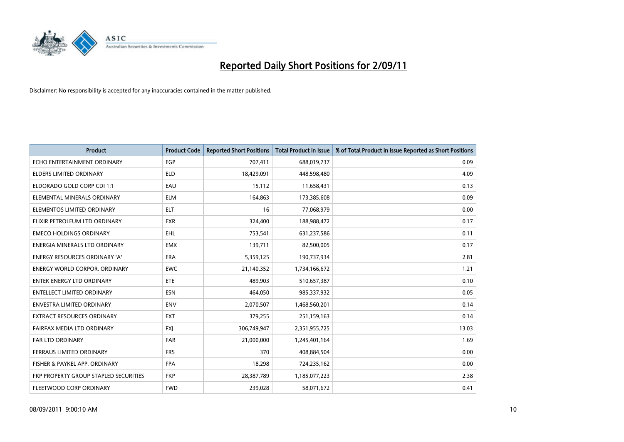

| <b>Product</b>                        | <b>Product Code</b> | <b>Reported Short Positions</b> | <b>Total Product in Issue</b> | % of Total Product in Issue Reported as Short Positions |
|---------------------------------------|---------------------|---------------------------------|-------------------------------|---------------------------------------------------------|
| ECHO ENTERTAINMENT ORDINARY           | EGP                 | 707,411                         | 688,019,737                   | 0.09                                                    |
| ELDERS LIMITED ORDINARY               | <b>ELD</b>          | 18,429,091                      | 448,598,480                   | 4.09                                                    |
| ELDORADO GOLD CORP CDI 1:1            | EAU                 | 15,112                          | 11,658,431                    | 0.13                                                    |
| ELEMENTAL MINERALS ORDINARY           | <b>ELM</b>          | 164,863                         | 173,385,608                   | 0.09                                                    |
| ELEMENTOS LIMITED ORDINARY            | <b>ELT</b>          | 16                              | 77,068,979                    | 0.00                                                    |
| ELIXIR PETROLEUM LTD ORDINARY         | <b>EXR</b>          | 324,400                         | 188,988,472                   | 0.17                                                    |
| <b>EMECO HOLDINGS ORDINARY</b>        | <b>EHL</b>          | 753,541                         | 631,237,586                   | 0.11                                                    |
| ENERGIA MINERALS LTD ORDINARY         | <b>EMX</b>          | 139,711                         | 82,500,005                    | 0.17                                                    |
| ENERGY RESOURCES ORDINARY 'A'         | <b>ERA</b>          | 5,359,125                       | 190,737,934                   | 2.81                                                    |
| <b>ENERGY WORLD CORPOR, ORDINARY</b>  | <b>EWC</b>          | 21,140,352                      | 1,734,166,672                 | 1.21                                                    |
| <b>ENTEK ENERGY LTD ORDINARY</b>      | <b>ETE</b>          | 489,903                         | 510,657,387                   | 0.10                                                    |
| <b>ENTELLECT LIMITED ORDINARY</b>     | <b>ESN</b>          | 464,050                         | 985,337,932                   | 0.05                                                    |
| <b>ENVESTRA LIMITED ORDINARY</b>      | <b>ENV</b>          | 2,070,507                       | 1,468,560,201                 | 0.14                                                    |
| <b>EXTRACT RESOURCES ORDINARY</b>     | <b>EXT</b>          | 379,255                         | 251,159,163                   | 0.14                                                    |
| FAIRFAX MEDIA LTD ORDINARY            | <b>FXI</b>          | 306,749,947                     | 2,351,955,725                 | 13.03                                                   |
| <b>FAR LTD ORDINARY</b>               | <b>FAR</b>          | 21,000,000                      | 1,245,401,164                 | 1.69                                                    |
| FERRAUS LIMITED ORDINARY              | <b>FRS</b>          | 370                             | 408,884,504                   | 0.00                                                    |
| FISHER & PAYKEL APP. ORDINARY         | <b>FPA</b>          | 18,298                          | 724,235,162                   | 0.00                                                    |
| FKP PROPERTY GROUP STAPLED SECURITIES | <b>FKP</b>          | 28,387,789                      | 1,185,077,223                 | 2.38                                                    |
| FLEETWOOD CORP ORDINARY               | <b>FWD</b>          | 239,028                         | 58,071,672                    | 0.41                                                    |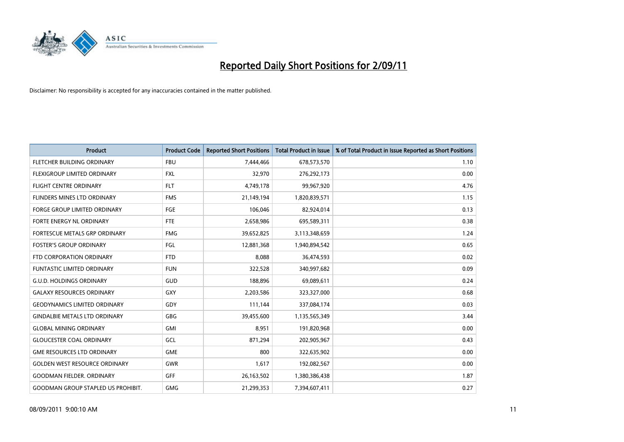

| <b>Product</b>                            | <b>Product Code</b> | <b>Reported Short Positions</b> | <b>Total Product in Issue</b> | % of Total Product in Issue Reported as Short Positions |
|-------------------------------------------|---------------------|---------------------------------|-------------------------------|---------------------------------------------------------|
| FLETCHER BUILDING ORDINARY                | <b>FBU</b>          | 7,444,466                       | 678,573,570                   | 1.10                                                    |
| FLEXIGROUP LIMITED ORDINARY               | <b>FXL</b>          | 32,970                          | 276,292,173                   | 0.00                                                    |
| <b>FLIGHT CENTRE ORDINARY</b>             | <b>FLT</b>          | 4,749,178                       | 99,967,920                    | 4.76                                                    |
| FLINDERS MINES LTD ORDINARY               | <b>FMS</b>          | 21,149,194                      | 1,820,839,571                 | 1.15                                                    |
| <b>FORGE GROUP LIMITED ORDINARY</b>       | FGE                 | 106,046                         | 82,924,014                    | 0.13                                                    |
| FORTE ENERGY NL ORDINARY                  | <b>FTE</b>          | 2,658,986                       | 695,589,311                   | 0.38                                                    |
| FORTESCUE METALS GRP ORDINARY             | <b>FMG</b>          | 39,652,825                      | 3,113,348,659                 | 1.24                                                    |
| <b>FOSTER'S GROUP ORDINARY</b>            | FGL                 | 12,881,368                      | 1,940,894,542                 | 0.65                                                    |
| FTD CORPORATION ORDINARY                  | <b>FTD</b>          | 8,088                           | 36,474,593                    | 0.02                                                    |
| <b>FUNTASTIC LIMITED ORDINARY</b>         | <b>FUN</b>          | 322,528                         | 340,997,682                   | 0.09                                                    |
| <b>G.U.D. HOLDINGS ORDINARY</b>           | GUD                 | 188,896                         | 69,089,611                    | 0.24                                                    |
| <b>GALAXY RESOURCES ORDINARY</b>          | GXY                 | 2,203,586                       | 323,327,000                   | 0.68                                                    |
| <b>GEODYNAMICS LIMITED ORDINARY</b>       | GDY                 | 111,144                         | 337,084,174                   | 0.03                                                    |
| <b>GINDALBIE METALS LTD ORDINARY</b>      | GBG                 | 39,455,600                      | 1,135,565,349                 | 3.44                                                    |
| <b>GLOBAL MINING ORDINARY</b>             | <b>GMI</b>          | 8,951                           | 191,820,968                   | 0.00                                                    |
| <b>GLOUCESTER COAL ORDINARY</b>           | GCL                 | 871,294                         | 202,905,967                   | 0.43                                                    |
| <b>GME RESOURCES LTD ORDINARY</b>         | <b>GME</b>          | 800                             | 322,635,902                   | 0.00                                                    |
| <b>GOLDEN WEST RESOURCE ORDINARY</b>      | <b>GWR</b>          | 1,617                           | 192,082,567                   | 0.00                                                    |
| <b>GOODMAN FIELDER, ORDINARY</b>          | <b>GFF</b>          | 26,163,502                      | 1,380,386,438                 | 1.87                                                    |
| <b>GOODMAN GROUP STAPLED US PROHIBIT.</b> | <b>GMG</b>          | 21,299,353                      | 7,394,607,411                 | 0.27                                                    |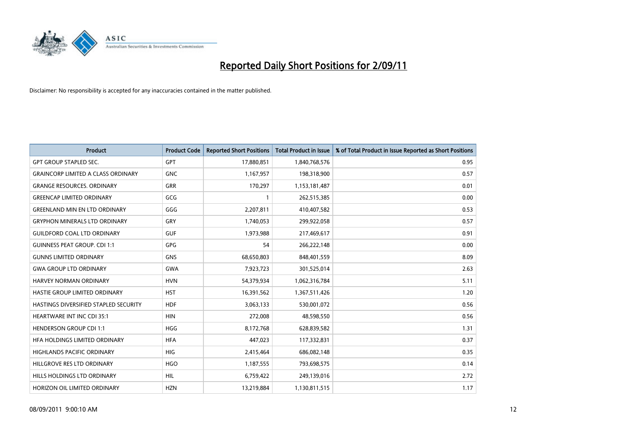

| Product                                   | <b>Product Code</b> | <b>Reported Short Positions</b> | Total Product in Issue | % of Total Product in Issue Reported as Short Positions |
|-------------------------------------------|---------------------|---------------------------------|------------------------|---------------------------------------------------------|
| <b>GPT GROUP STAPLED SEC.</b>             | <b>GPT</b>          | 17,880,851                      | 1,840,768,576          | 0.95                                                    |
| <b>GRAINCORP LIMITED A CLASS ORDINARY</b> | <b>GNC</b>          | 1,167,957                       | 198,318,900            | 0.57                                                    |
| <b>GRANGE RESOURCES. ORDINARY</b>         | <b>GRR</b>          | 170,297                         | 1,153,181,487          | 0.01                                                    |
| <b>GREENCAP LIMITED ORDINARY</b>          | GCG                 |                                 | 262,515,385            | 0.00                                                    |
| <b>GREENLAND MIN EN LTD ORDINARY</b>      | GGG                 | 2,207,811                       | 410,407,582            | 0.53                                                    |
| <b>GRYPHON MINERALS LTD ORDINARY</b>      | GRY                 | 1,740,053                       | 299,922,058            | 0.57                                                    |
| <b>GUILDFORD COAL LTD ORDINARY</b>        | <b>GUF</b>          | 1,973,988                       | 217,469,617            | 0.91                                                    |
| <b>GUINNESS PEAT GROUP. CDI 1:1</b>       | <b>GPG</b>          | 54                              | 266,222,148            | 0.00                                                    |
| <b>GUNNS LIMITED ORDINARY</b>             | <b>GNS</b>          | 68,650,803                      | 848,401,559            | 8.09                                                    |
| <b>GWA GROUP LTD ORDINARY</b>             | <b>GWA</b>          | 7,923,723                       | 301,525,014            | 2.63                                                    |
| HARVEY NORMAN ORDINARY                    | <b>HVN</b>          | 54,379,934                      | 1,062,316,784          | 5.11                                                    |
| HASTIE GROUP LIMITED ORDINARY             | <b>HST</b>          | 16,391,562                      | 1,367,511,426          | 1.20                                                    |
| HASTINGS DIVERSIFIED STAPLED SECURITY     | <b>HDF</b>          | 3,063,133                       | 530,001,072            | 0.56                                                    |
| <b>HEARTWARE INT INC CDI 35:1</b>         | <b>HIN</b>          | 272,008                         | 48,598,550             | 0.56                                                    |
| <b>HENDERSON GROUP CDI 1:1</b>            | <b>HGG</b>          | 8,172,768                       | 628,839,582            | 1.31                                                    |
| HFA HOLDINGS LIMITED ORDINARY             | <b>HFA</b>          | 447,023                         | 117,332,831            | 0.37                                                    |
| <b>HIGHLANDS PACIFIC ORDINARY</b>         | <b>HIG</b>          | 2,415,464                       | 686,082,148            | 0.35                                                    |
| HILLGROVE RES LTD ORDINARY                | <b>HGO</b>          | 1,187,555                       | 793,698,575            | 0.14                                                    |
| <b>HILLS HOLDINGS LTD ORDINARY</b>        | <b>HIL</b>          | 6,759,422                       | 249,139,016            | 2.72                                                    |
| HORIZON OIL LIMITED ORDINARY              | <b>HZN</b>          | 13,219,884                      | 1,130,811,515          | 1.17                                                    |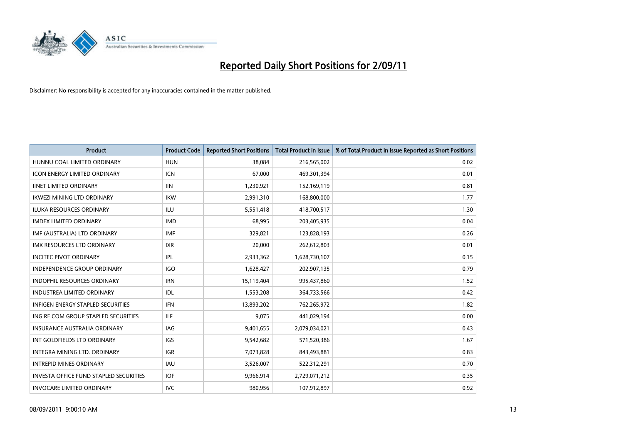

| <b>Product</b>                                | <b>Product Code</b> | <b>Reported Short Positions</b> | <b>Total Product in Issue</b> | % of Total Product in Issue Reported as Short Positions |
|-----------------------------------------------|---------------------|---------------------------------|-------------------------------|---------------------------------------------------------|
| HUNNU COAL LIMITED ORDINARY                   | <b>HUN</b>          | 38,084                          | 216,565,002                   | 0.02                                                    |
| ICON ENERGY LIMITED ORDINARY                  | <b>ICN</b>          | 67,000                          | 469,301,394                   | 0.01                                                    |
| <b>IINET LIMITED ORDINARY</b>                 | <b>IIN</b>          | 1,230,921                       | 152,169,119                   | 0.81                                                    |
| <b>IKWEZI MINING LTD ORDINARY</b>             | <b>IKW</b>          | 2,991,310                       | 168,800,000                   | 1.77                                                    |
| <b>ILUKA RESOURCES ORDINARY</b>               | ILU                 | 5,551,418                       | 418,700,517                   | 1.30                                                    |
| <b>IMDEX LIMITED ORDINARY</b>                 | <b>IMD</b>          | 68,995                          | 203,405,935                   | 0.04                                                    |
| IMF (AUSTRALIA) LTD ORDINARY                  | <b>IMF</b>          | 329,821                         | 123,828,193                   | 0.26                                                    |
| <b>IMX RESOURCES LTD ORDINARY</b>             | <b>IXR</b>          | 20,000                          | 262,612,803                   | 0.01                                                    |
| <b>INCITEC PIVOT ORDINARY</b>                 | <b>IPL</b>          | 2,933,362                       | 1,628,730,107                 | 0.15                                                    |
| <b>INDEPENDENCE GROUP ORDINARY</b>            | <b>IGO</b>          | 1,628,427                       | 202,907,135                   | 0.79                                                    |
| <b>INDOPHIL RESOURCES ORDINARY</b>            | <b>IRN</b>          | 15,119,404                      | 995,437,860                   | 1.52                                                    |
| <b>INDUSTREA LIMITED ORDINARY</b>             | IDL                 | 1,553,208                       | 364,733,566                   | 0.42                                                    |
| <b>INFIGEN ENERGY STAPLED SECURITIES</b>      | <b>IFN</b>          | 13,893,202                      | 762,265,972                   | 1.82                                                    |
| ING RE COM GROUP STAPLED SECURITIES           | <b>ILF</b>          | 9,075                           | 441,029,194                   | 0.00                                                    |
| <b>INSURANCE AUSTRALIA ORDINARY</b>           | IAG                 | 9,401,655                       | 2,079,034,021                 | 0.43                                                    |
| INT GOLDFIELDS LTD ORDINARY                   | <b>IGS</b>          | 9,542,682                       | 571,520,386                   | 1.67                                                    |
| INTEGRA MINING LTD, ORDINARY                  | <b>IGR</b>          | 7,073,828                       | 843,493,881                   | 0.83                                                    |
| <b>INTREPID MINES ORDINARY</b>                | IAU                 | 3,526,007                       | 522,312,291                   | 0.70                                                    |
| <b>INVESTA OFFICE FUND STAPLED SECURITIES</b> | <b>IOF</b>          | 9,966,914                       | 2,729,071,212                 | 0.35                                                    |
| <b>INVOCARE LIMITED ORDINARY</b>              | <b>IVC</b>          | 980,956                         | 107,912,897                   | 0.92                                                    |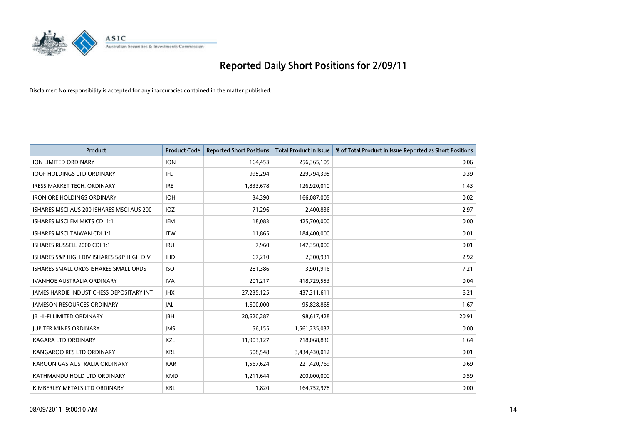

| Product                                   | <b>Product Code</b> | <b>Reported Short Positions</b> | Total Product in Issue | % of Total Product in Issue Reported as Short Positions |
|-------------------------------------------|---------------------|---------------------------------|------------------------|---------------------------------------------------------|
| <b>ION LIMITED ORDINARY</b>               | <b>ION</b>          | 164,453                         | 256,365,105            | 0.06                                                    |
| <b>IOOF HOLDINGS LTD ORDINARY</b>         | IFL.                | 995,294                         | 229,794,395            | 0.39                                                    |
| <b>IRESS MARKET TECH. ORDINARY</b>        | <b>IRE</b>          | 1,833,678                       | 126,920,010            | 1.43                                                    |
| <b>IRON ORE HOLDINGS ORDINARY</b>         | <b>IOH</b>          | 34,390                          | 166,087,005            | 0.02                                                    |
| ISHARES MSCI AUS 200 ISHARES MSCI AUS 200 | IOZ                 | 71,296                          | 2,400,836              | 2.97                                                    |
| ISHARES MSCI EM MKTS CDI 1:1              | IEM                 | 18,083                          | 425,700,000            | 0.00                                                    |
| <b>ISHARES MSCI TAIWAN CDI 1:1</b>        | <b>ITW</b>          | 11,865                          | 184,400,000            | 0.01                                                    |
| ISHARES RUSSELL 2000 CDI 1:1              | <b>IRU</b>          | 7,960                           | 147,350,000            | 0.01                                                    |
| ISHARES S&P HIGH DIV ISHARES S&P HIGH DIV | <b>IHD</b>          | 67,210                          | 2,300,931              | 2.92                                                    |
| ISHARES SMALL ORDS ISHARES SMALL ORDS     | <b>ISO</b>          | 281,386                         | 3,901,916              | 7.21                                                    |
| <b>IVANHOE AUSTRALIA ORDINARY</b>         | <b>IVA</b>          | 201,217                         | 418,729,553            | 0.04                                                    |
| JAMES HARDIE INDUST CHESS DEPOSITARY INT  | <b>JHX</b>          | 27,235,125                      | 437,311,611            | 6.21                                                    |
| <b>JAMESON RESOURCES ORDINARY</b>         | <b>JAL</b>          | 1,600,000                       | 95,828,865             | 1.67                                                    |
| <b>IB HI-FI LIMITED ORDINARY</b>          | <b>IBH</b>          | 20,620,287                      | 98,617,428             | 20.91                                                   |
| <b>JUPITER MINES ORDINARY</b>             | <b>IMS</b>          | 56,155                          | 1,561,235,037          | 0.00                                                    |
| <b>KAGARA LTD ORDINARY</b>                | KZL                 | 11,903,127                      | 718,068,836            | 1.64                                                    |
| KANGAROO RES LTD ORDINARY                 | <b>KRL</b>          | 508,548                         | 3,434,430,012          | 0.01                                                    |
| KAROON GAS AUSTRALIA ORDINARY             | <b>KAR</b>          | 1,567,624                       | 221,420,769            | 0.69                                                    |
| KATHMANDU HOLD LTD ORDINARY               | <b>KMD</b>          | 1,211,644                       | 200,000,000            | 0.59                                                    |
| KIMBERLEY METALS LTD ORDINARY             | <b>KBL</b>          | 1,820                           | 164,752,978            | 0.00                                                    |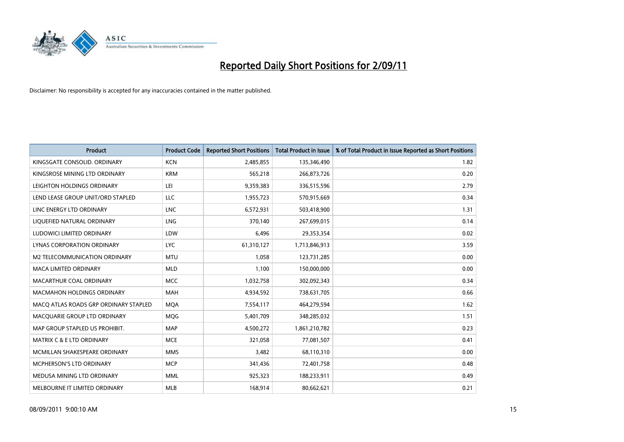

| <b>Product</b>                        | <b>Product Code</b> | <b>Reported Short Positions</b> | <b>Total Product in Issue</b> | % of Total Product in Issue Reported as Short Positions |
|---------------------------------------|---------------------|---------------------------------|-------------------------------|---------------------------------------------------------|
| KINGSGATE CONSOLID. ORDINARY          | <b>KCN</b>          | 2,485,855                       | 135,346,490                   | 1.82                                                    |
| KINGSROSE MINING LTD ORDINARY         | <b>KRM</b>          | 565,218                         | 266,873,726                   | 0.20                                                    |
| LEIGHTON HOLDINGS ORDINARY            | LEI                 | 9,359,383                       | 336,515,596                   | 2.79                                                    |
| LEND LEASE GROUP UNIT/ORD STAPLED     | <b>LLC</b>          | 1,955,723                       | 570,915,669                   | 0.34                                                    |
| LINC ENERGY LTD ORDINARY              | <b>LNC</b>          | 6,572,931                       | 503,418,900                   | 1.31                                                    |
| LIQUEFIED NATURAL ORDINARY            | LNG                 | 370,140                         | 267,699,015                   | 0.14                                                    |
| LUDOWICI LIMITED ORDINARY             | LDW                 | 6,496                           | 29,353,354                    | 0.02                                                    |
| LYNAS CORPORATION ORDINARY            | <b>LYC</b>          | 61,310,127                      | 1,713,846,913                 | 3.59                                                    |
| M2 TELECOMMUNICATION ORDINARY         | <b>MTU</b>          | 1,058                           | 123,731,285                   | 0.00                                                    |
| <b>MACA LIMITED ORDINARY</b>          | <b>MLD</b>          | 1,100                           | 150,000,000                   | 0.00                                                    |
| MACARTHUR COAL ORDINARY               | <b>MCC</b>          | 1,032,758                       | 302,092,343                   | 0.34                                                    |
| <b>MACMAHON HOLDINGS ORDINARY</b>     | MAH                 | 4,934,592                       | 738,631,705                   | 0.66                                                    |
| MACQ ATLAS ROADS GRP ORDINARY STAPLED | <b>MOA</b>          | 7,554,117                       | 464,279,594                   | 1.62                                                    |
| MACQUARIE GROUP LTD ORDINARY          | <b>MOG</b>          | 5,401,709                       | 348,285,032                   | 1.51                                                    |
| MAP GROUP STAPLED US PROHIBIT.        | <b>MAP</b>          | 4,500,272                       | 1,861,210,782                 | 0.23                                                    |
| <b>MATRIX C &amp; E LTD ORDINARY</b>  | <b>MCE</b>          | 321,058                         | 77,081,507                    | 0.41                                                    |
| MCMILLAN SHAKESPEARE ORDINARY         | <b>MMS</b>          | 3,482                           | 68,110,310                    | 0.00                                                    |
| MCPHERSON'S LTD ORDINARY              | <b>MCP</b>          | 341,436                         | 72,401,758                    | 0.48                                                    |
| MEDUSA MINING LTD ORDINARY            | <b>MML</b>          | 925,323                         | 188,233,911                   | 0.49                                                    |
| MELBOURNE IT LIMITED ORDINARY         | MLB                 | 168,914                         | 80,662,621                    | 0.21                                                    |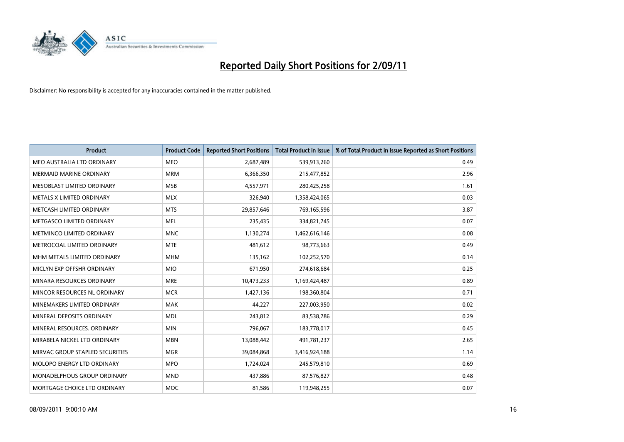

| <b>Product</b>                  | <b>Product Code</b> | <b>Reported Short Positions</b> | <b>Total Product in Issue</b> | % of Total Product in Issue Reported as Short Positions |
|---------------------------------|---------------------|---------------------------------|-------------------------------|---------------------------------------------------------|
| MEO AUSTRALIA LTD ORDINARY      | <b>MEO</b>          | 2,687,489                       | 539,913,260                   | 0.49                                                    |
| <b>MERMAID MARINE ORDINARY</b>  | <b>MRM</b>          | 6,366,350                       | 215,477,852                   | 2.96                                                    |
| MESOBLAST LIMITED ORDINARY      | <b>MSB</b>          | 4,557,971                       | 280,425,258                   | 1.61                                                    |
| METALS X LIMITED ORDINARY       | <b>MLX</b>          | 326,940                         | 1,358,424,065                 | 0.03                                                    |
| METCASH LIMITED ORDINARY        | <b>MTS</b>          | 29,857,646                      | 769,165,596                   | 3.87                                                    |
| METGASCO LIMITED ORDINARY       | <b>MEL</b>          | 235,435                         | 334,821,745                   | 0.07                                                    |
| METMINCO LIMITED ORDINARY       | <b>MNC</b>          | 1,130,274                       | 1,462,616,146                 | 0.08                                                    |
| METROCOAL LIMITED ORDINARY      | <b>MTE</b>          | 481,612                         | 98,773,663                    | 0.49                                                    |
| MHM METALS LIMITED ORDINARY     | <b>MHM</b>          | 135,162                         | 102,252,570                   | 0.14                                                    |
| MICLYN EXP OFFSHR ORDINARY      | <b>MIO</b>          | 671,950                         | 274,618,684                   | 0.25                                                    |
| MINARA RESOURCES ORDINARY       | <b>MRE</b>          | 10,473,233                      | 1,169,424,487                 | 0.89                                                    |
| MINCOR RESOURCES NL ORDINARY    | <b>MCR</b>          | 1,427,136                       | 198,360,804                   | 0.71                                                    |
| MINEMAKERS LIMITED ORDINARY     | <b>MAK</b>          | 44,227                          | 227,003,950                   | 0.02                                                    |
| MINERAL DEPOSITS ORDINARY       | <b>MDL</b>          | 243,812                         | 83,538,786                    | 0.29                                                    |
| MINERAL RESOURCES, ORDINARY     | <b>MIN</b>          | 796,067                         | 183,778,017                   | 0.45                                                    |
| MIRABELA NICKEL LTD ORDINARY    | <b>MBN</b>          | 13,088,442                      | 491,781,237                   | 2.65                                                    |
| MIRVAC GROUP STAPLED SECURITIES | <b>MGR</b>          | 39,084,868                      | 3,416,924,188                 | 1.14                                                    |
| MOLOPO ENERGY LTD ORDINARY      | <b>MPO</b>          | 1,724,024                       | 245,579,810                   | 0.69                                                    |
| MONADELPHOUS GROUP ORDINARY     | <b>MND</b>          | 437,886                         | 87,576,827                    | 0.48                                                    |
| MORTGAGE CHOICE LTD ORDINARY    | <b>MOC</b>          | 81,586                          | 119,948,255                   | 0.07                                                    |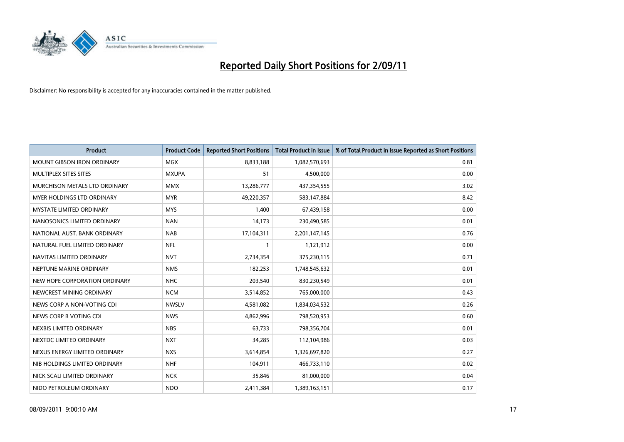

| <b>Product</b>                    | <b>Product Code</b> | <b>Reported Short Positions</b> | Total Product in Issue | % of Total Product in Issue Reported as Short Positions |
|-----------------------------------|---------------------|---------------------------------|------------------------|---------------------------------------------------------|
| <b>MOUNT GIBSON IRON ORDINARY</b> | <b>MGX</b>          | 8,833,188                       | 1,082,570,693          | 0.81                                                    |
| MULTIPLEX SITES SITES             | <b>MXUPA</b>        | 51                              | 4,500,000              | 0.00                                                    |
| MURCHISON METALS LTD ORDINARY     | <b>MMX</b>          | 13,286,777                      | 437,354,555            | 3.02                                                    |
| MYER HOLDINGS LTD ORDINARY        | <b>MYR</b>          | 49,220,357                      | 583,147,884            | 8.42                                                    |
| <b>MYSTATE LIMITED ORDINARY</b>   | <b>MYS</b>          | 1,400                           | 67,439,158             | 0.00                                                    |
| NANOSONICS LIMITED ORDINARY       | <b>NAN</b>          | 14,173                          | 230,490,585            | 0.01                                                    |
| NATIONAL AUST, BANK ORDINARY      | <b>NAB</b>          | 17,104,311                      | 2,201,147,145          | 0.76                                                    |
| NATURAL FUEL LIMITED ORDINARY     | <b>NFL</b>          |                                 | 1,121,912              | 0.00                                                    |
| NAVITAS LIMITED ORDINARY          | <b>NVT</b>          | 2,734,354                       | 375,230,115            | 0.71                                                    |
| NEPTUNE MARINE ORDINARY           | <b>NMS</b>          | 182,253                         | 1,748,545,632          | 0.01                                                    |
| NEW HOPE CORPORATION ORDINARY     | <b>NHC</b>          | 203,540                         | 830,230,549            | 0.01                                                    |
| NEWCREST MINING ORDINARY          | <b>NCM</b>          | 3,514,852                       | 765,000,000            | 0.43                                                    |
| NEWS CORP A NON-VOTING CDI        | <b>NWSLV</b>        | 4,581,082                       | 1,834,034,532          | 0.26                                                    |
| NEWS CORP B VOTING CDI            | <b>NWS</b>          | 4,862,996                       | 798,520,953            | 0.60                                                    |
| NEXBIS LIMITED ORDINARY           | <b>NBS</b>          | 63,733                          | 798,356,704            | 0.01                                                    |
| NEXTDC LIMITED ORDINARY           | <b>NXT</b>          | 34,285                          | 112,104,986            | 0.03                                                    |
| NEXUS ENERGY LIMITED ORDINARY     | <b>NXS</b>          | 3,614,854                       | 1,326,697,820          | 0.27                                                    |
| NIB HOLDINGS LIMITED ORDINARY     | <b>NHF</b>          | 104,911                         | 466,733,110            | 0.02                                                    |
| NICK SCALI LIMITED ORDINARY       | <b>NCK</b>          | 35,846                          | 81,000,000             | 0.04                                                    |
| NIDO PETROLEUM ORDINARY           | <b>NDO</b>          | 2,411,384                       | 1,389,163,151          | 0.17                                                    |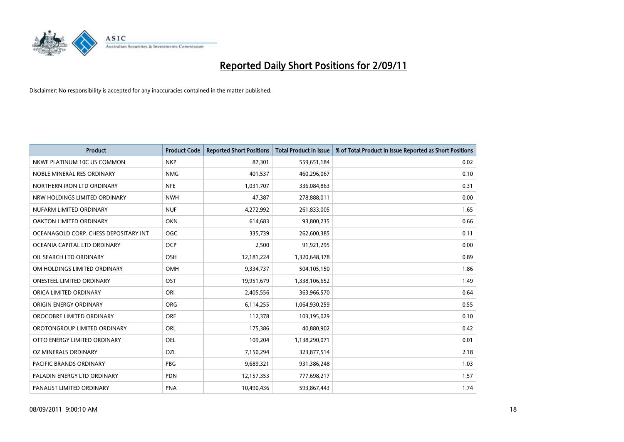

| <b>Product</b>                        | <b>Product Code</b> | <b>Reported Short Positions</b> | Total Product in Issue | % of Total Product in Issue Reported as Short Positions |
|---------------------------------------|---------------------|---------------------------------|------------------------|---------------------------------------------------------|
| NKWE PLATINUM 10C US COMMON           | <b>NKP</b>          | 87,301                          | 559,651,184            | 0.02                                                    |
| NOBLE MINERAL RES ORDINARY            | <b>NMG</b>          | 401,537                         | 460,296,067            | 0.10                                                    |
| NORTHERN IRON LTD ORDINARY            | <b>NFE</b>          | 1,031,707                       | 336,084,863            | 0.31                                                    |
| NRW HOLDINGS LIMITED ORDINARY         | <b>NWH</b>          | 47,387                          | 278,888,011            | 0.00                                                    |
| NUFARM LIMITED ORDINARY               | <b>NUF</b>          | 4,272,992                       | 261,833,005            | 1.65                                                    |
| OAKTON LIMITED ORDINARY               | <b>OKN</b>          | 614,683                         | 93,800,235             | 0.66                                                    |
| OCEANAGOLD CORP. CHESS DEPOSITARY INT | <b>OGC</b>          | 335,739                         | 262,600,385            | 0.11                                                    |
| OCEANIA CAPITAL LTD ORDINARY          | <b>OCP</b>          | 2,500                           | 91,921,295             | 0.00                                                    |
| OIL SEARCH LTD ORDINARY               | OSH                 | 12,181,224                      | 1,320,648,378          | 0.89                                                    |
| OM HOLDINGS LIMITED ORDINARY          | <b>OMH</b>          | 9,334,737                       | 504,105,150            | 1.86                                                    |
| <b>ONESTEEL LIMITED ORDINARY</b>      | OST                 | 19,951,679                      | 1,338,106,652          | 1.49                                                    |
| ORICA LIMITED ORDINARY                | ORI                 | 2,405,556                       | 363,966,570            | 0.64                                                    |
| ORIGIN ENERGY ORDINARY                | <b>ORG</b>          | 6,114,255                       | 1,064,930,259          | 0.55                                                    |
| OROCOBRE LIMITED ORDINARY             | <b>ORE</b>          | 112,378                         | 103,195,029            | 0.10                                                    |
| OROTONGROUP LIMITED ORDINARY          | <b>ORL</b>          | 175,386                         | 40,880,902             | 0.42                                                    |
| OTTO ENERGY LIMITED ORDINARY          | <b>OEL</b>          | 109,204                         | 1,138,290,071          | 0.01                                                    |
| OZ MINERALS ORDINARY                  | OZL                 | 7,150,294                       | 323,877,514            | 2.18                                                    |
| PACIFIC BRANDS ORDINARY               | <b>PBG</b>          | 9,689,321                       | 931,386,248            | 1.03                                                    |
| PALADIN ENERGY LTD ORDINARY           | <b>PDN</b>          | 12,157,353                      | 777,698,217            | 1.57                                                    |
| PANAUST LIMITED ORDINARY              | <b>PNA</b>          | 10,490,436                      | 593,867,443            | 1.74                                                    |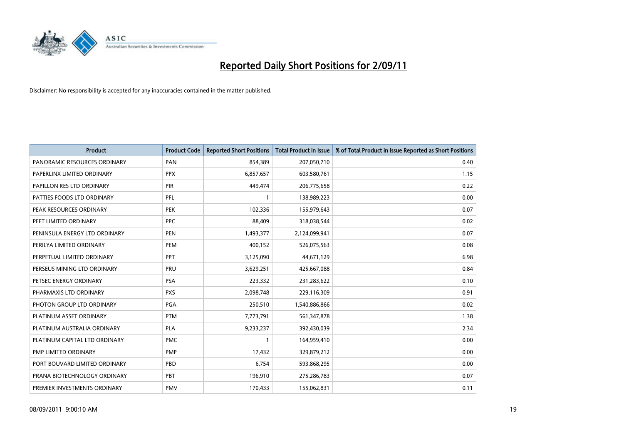

| <b>Product</b>                | <b>Product Code</b> | <b>Reported Short Positions</b> | Total Product in Issue | % of Total Product in Issue Reported as Short Positions |
|-------------------------------|---------------------|---------------------------------|------------------------|---------------------------------------------------------|
| PANORAMIC RESOURCES ORDINARY  | PAN                 | 854,389                         | 207,050,710            | 0.40                                                    |
| PAPERLINX LIMITED ORDINARY    | <b>PPX</b>          | 6,857,657                       | 603,580,761            | 1.15                                                    |
| PAPILLON RES LTD ORDINARY     | PIR                 | 449,474                         | 206,775,658            | 0.22                                                    |
| PATTIES FOODS LTD ORDINARY    | PFL                 |                                 | 138,989,223            | 0.00                                                    |
| PEAK RESOURCES ORDINARY       | PEK                 | 102,336                         | 155,979,643            | 0.07                                                    |
| PEET LIMITED ORDINARY         | PPC                 | 88,409                          | 318,038,544            | 0.02                                                    |
| PENINSULA ENERGY LTD ORDINARY | <b>PEN</b>          | 1,493,377                       | 2,124,099,941          | 0.07                                                    |
| PERILYA LIMITED ORDINARY      | PEM                 | 400,152                         | 526,075,563            | 0.08                                                    |
| PERPETUAL LIMITED ORDINARY    | <b>PPT</b>          | 3,125,090                       | 44,671,129             | 6.98                                                    |
| PERSEUS MINING LTD ORDINARY   | <b>PRU</b>          | 3,629,251                       | 425,667,088            | 0.84                                                    |
| PETSEC ENERGY ORDINARY        | <b>PSA</b>          | 223,332                         | 231,283,622            | 0.10                                                    |
| PHARMAXIS LTD ORDINARY        | <b>PXS</b>          | 2,098,748                       | 229,116,309            | 0.91                                                    |
| PHOTON GROUP LTD ORDINARY     | <b>PGA</b>          | 250,510                         | 1,540,886,866          | 0.02                                                    |
| PLATINUM ASSET ORDINARY       | <b>PTM</b>          | 7,773,791                       | 561,347,878            | 1.38                                                    |
| PLATINUM AUSTRALIA ORDINARY   | <b>PLA</b>          | 9,233,237                       | 392,430,039            | 2.34                                                    |
| PLATINUM CAPITAL LTD ORDINARY | <b>PMC</b>          |                                 | 164,959,410            | 0.00                                                    |
| PMP LIMITED ORDINARY          | PMP                 | 17,432                          | 329,879,212            | 0.00                                                    |
| PORT BOUVARD LIMITED ORDINARY | PBD                 | 6,754                           | 593,868,295            | 0.00                                                    |
| PRANA BIOTECHNOLOGY ORDINARY  | PBT                 | 196,910                         | 275,286,783            | 0.07                                                    |
| PREMIER INVESTMENTS ORDINARY  | <b>PMV</b>          | 170,433                         | 155,062,831            | 0.11                                                    |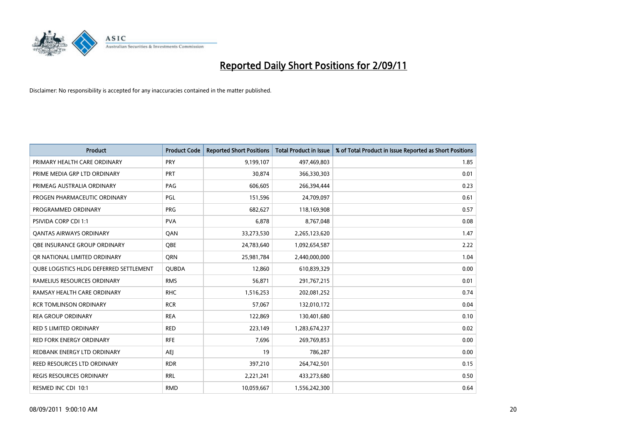

| <b>Product</b>                                 | <b>Product Code</b> | <b>Reported Short Positions</b> | <b>Total Product in Issue</b> | % of Total Product in Issue Reported as Short Positions |
|------------------------------------------------|---------------------|---------------------------------|-------------------------------|---------------------------------------------------------|
| PRIMARY HEALTH CARE ORDINARY                   | <b>PRY</b>          | 9,199,107                       | 497,469,803                   | 1.85                                                    |
| PRIME MEDIA GRP LTD ORDINARY                   | <b>PRT</b>          | 30,874                          | 366,330,303                   | 0.01                                                    |
| PRIMEAG AUSTRALIA ORDINARY                     | PAG                 | 606,605                         | 266,394,444                   | 0.23                                                    |
| PROGEN PHARMACEUTIC ORDINARY                   | PGL                 | 151,596                         | 24,709,097                    | 0.61                                                    |
| PROGRAMMED ORDINARY                            | <b>PRG</b>          | 682,627                         | 118,169,908                   | 0.57                                                    |
| <b>PSIVIDA CORP CDI 1:1</b>                    | <b>PVA</b>          | 6,878                           | 8,767,048                     | 0.08                                                    |
| <b>QANTAS AIRWAYS ORDINARY</b>                 | QAN                 | 33,273,530                      | 2,265,123,620                 | 1.47                                                    |
| OBE INSURANCE GROUP ORDINARY                   | <b>OBE</b>          | 24,783,640                      | 1,092,654,587                 | 2.22                                                    |
| OR NATIONAL LIMITED ORDINARY                   | <b>ORN</b>          | 25,981,784                      | 2,440,000,000                 | 1.04                                                    |
| <b>OUBE LOGISTICS HLDG DEFERRED SETTLEMENT</b> | <b>QUBDA</b>        | 12,860                          | 610,839,329                   | 0.00                                                    |
| RAMELIUS RESOURCES ORDINARY                    | <b>RMS</b>          | 56,871                          | 291,767,215                   | 0.01                                                    |
| RAMSAY HEALTH CARE ORDINARY                    | <b>RHC</b>          | 1,516,253                       | 202,081,252                   | 0.74                                                    |
| <b>RCR TOMLINSON ORDINARY</b>                  | <b>RCR</b>          | 57,067                          | 132,010,172                   | 0.04                                                    |
| <b>REA GROUP ORDINARY</b>                      | <b>REA</b>          | 122,869                         | 130,401,680                   | 0.10                                                    |
| <b>RED 5 LIMITED ORDINARY</b>                  | <b>RED</b>          | 223,149                         | 1,283,674,237                 | 0.02                                                    |
| <b>RED FORK ENERGY ORDINARY</b>                | <b>RFE</b>          | 7,696                           | 269,769,853                   | 0.00                                                    |
| REDBANK ENERGY LTD ORDINARY                    | <b>AEJ</b>          | 19                              | 786,287                       | 0.00                                                    |
| REED RESOURCES LTD ORDINARY                    | <b>RDR</b>          | 397,210                         | 264,742,501                   | 0.15                                                    |
| <b>REGIS RESOURCES ORDINARY</b>                | <b>RRL</b>          | 2,221,241                       | 433,273,680                   | 0.50                                                    |
| RESMED INC CDI 10:1                            | <b>RMD</b>          | 10,059,667                      | 1,556,242,300                 | 0.64                                                    |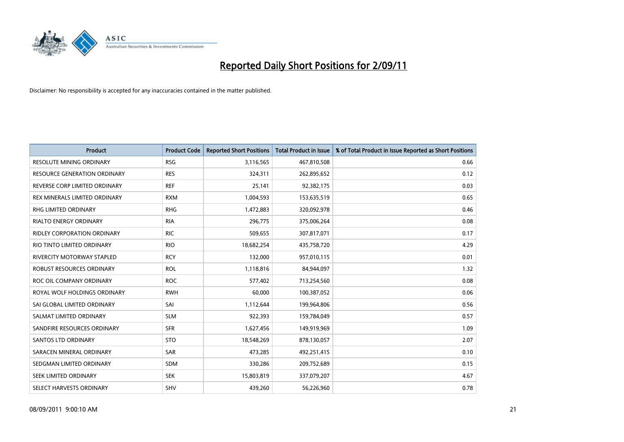

| <b>Product</b>                     | <b>Product Code</b> | <b>Reported Short Positions</b> | <b>Total Product in Issue</b> | % of Total Product in Issue Reported as Short Positions |
|------------------------------------|---------------------|---------------------------------|-------------------------------|---------------------------------------------------------|
| <b>RESOLUTE MINING ORDINARY</b>    | <b>RSG</b>          | 3,116,565                       | 467,810,508                   | 0.66                                                    |
| RESOURCE GENERATION ORDINARY       | <b>RES</b>          | 324,311                         | 262,895,652                   | 0.12                                                    |
| REVERSE CORP LIMITED ORDINARY      | <b>REF</b>          | 25,141                          | 92,382,175                    | 0.03                                                    |
| REX MINERALS LIMITED ORDINARY      | <b>RXM</b>          | 1,004,593                       | 153,635,519                   | 0.65                                                    |
| <b>RHG LIMITED ORDINARY</b>        | <b>RHG</b>          | 1,472,883                       | 320,092,978                   | 0.46                                                    |
| <b>RIALTO ENERGY ORDINARY</b>      | <b>RIA</b>          | 296,775                         | 375,006,264                   | 0.08                                                    |
| <b>RIDLEY CORPORATION ORDINARY</b> | <b>RIC</b>          | 509,655                         | 307,817,071                   | 0.17                                                    |
| RIO TINTO LIMITED ORDINARY         | <b>RIO</b>          | 18,682,254                      | 435,758,720                   | 4.29                                                    |
| RIVERCITY MOTORWAY STAPLED         | <b>RCY</b>          | 132,000                         | 957,010,115                   | 0.01                                                    |
| ROBUST RESOURCES ORDINARY          | <b>ROL</b>          | 1,118,816                       | 84,944,097                    | 1.32                                                    |
| ROC OIL COMPANY ORDINARY           | <b>ROC</b>          | 577,402                         | 713,254,560                   | 0.08                                                    |
| ROYAL WOLF HOLDINGS ORDINARY       | <b>RWH</b>          | 60,000                          | 100,387,052                   | 0.06                                                    |
| SAI GLOBAL LIMITED ORDINARY        | SAI                 | 1,112,644                       | 199,964,806                   | 0.56                                                    |
| SALMAT LIMITED ORDINARY            | <b>SLM</b>          | 922,393                         | 159,784,049                   | 0.57                                                    |
| SANDFIRE RESOURCES ORDINARY        | <b>SFR</b>          | 1,627,456                       | 149,919,969                   | 1.09                                                    |
| <b>SANTOS LTD ORDINARY</b>         | <b>STO</b>          | 18,548,269                      | 878,130,057                   | 2.07                                                    |
| SARACEN MINERAL ORDINARY           | <b>SAR</b>          | 473,285                         | 492,251,415                   | 0.10                                                    |
| SEDGMAN LIMITED ORDINARY           | <b>SDM</b>          | 330,286                         | 209,752,689                   | 0.15                                                    |
| SEEK LIMITED ORDINARY              | <b>SEK</b>          | 15,803,819                      | 337,079,207                   | 4.67                                                    |
| SELECT HARVESTS ORDINARY           | SHV                 | 439,260                         | 56,226,960                    | 0.78                                                    |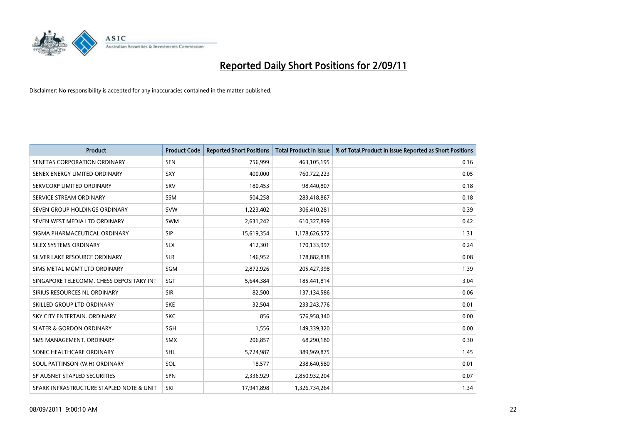

| Product                                  | <b>Product Code</b> | <b>Reported Short Positions</b> | <b>Total Product in Issue</b> | % of Total Product in Issue Reported as Short Positions |
|------------------------------------------|---------------------|---------------------------------|-------------------------------|---------------------------------------------------------|
| SENETAS CORPORATION ORDINARY             | <b>SEN</b>          | 756,999                         | 463,105,195                   | 0.16                                                    |
| SENEX ENERGY LIMITED ORDINARY            | <b>SXY</b>          | 400,000                         | 760,722,223                   | 0.05                                                    |
| SERVCORP LIMITED ORDINARY                | SRV                 | 180,453                         | 98,440,807                    | 0.18                                                    |
| SERVICE STREAM ORDINARY                  | <b>SSM</b>          | 504,258                         | 283,418,867                   | 0.18                                                    |
| SEVEN GROUP HOLDINGS ORDINARY            | <b>SVW</b>          | 1,223,402                       | 306,410,281                   | 0.39                                                    |
| SEVEN WEST MEDIA LTD ORDINARY            | SWM                 | 2,631,242                       | 610,327,899                   | 0.42                                                    |
| SIGMA PHARMACEUTICAL ORDINARY            | <b>SIP</b>          | 15,619,354                      | 1,178,626,572                 | 1.31                                                    |
| SILEX SYSTEMS ORDINARY                   | <b>SLX</b>          | 412,301                         | 170,133,997                   | 0.24                                                    |
| SILVER LAKE RESOURCE ORDINARY            | <b>SLR</b>          | 146,952                         | 178,882,838                   | 0.08                                                    |
| SIMS METAL MGMT LTD ORDINARY             | SGM                 | 2,872,926                       | 205,427,398                   | 1.39                                                    |
| SINGAPORE TELECOMM. CHESS DEPOSITARY INT | SGT                 | 5,644,384                       | 185,441,814                   | 3.04                                                    |
| SIRIUS RESOURCES NL ORDINARY             | <b>SIR</b>          | 82,500                          | 137,134,586                   | 0.06                                                    |
| SKILLED GROUP LTD ORDINARY               | <b>SKE</b>          | 32,504                          | 233, 243, 776                 | 0.01                                                    |
| SKY CITY ENTERTAIN, ORDINARY             | <b>SKC</b>          | 856                             | 576,958,340                   | 0.00                                                    |
| <b>SLATER &amp; GORDON ORDINARY</b>      | <b>SGH</b>          | 1,556                           | 149,339,320                   | 0.00                                                    |
| SMS MANAGEMENT, ORDINARY                 | <b>SMX</b>          | 206,857                         | 68,290,180                    | 0.30                                                    |
| SONIC HEALTHCARE ORDINARY                | <b>SHL</b>          | 5,724,987                       | 389,969,875                   | 1.45                                                    |
| SOUL PATTINSON (W.H) ORDINARY            | SOL                 | 18,577                          | 238,640,580                   | 0.01                                                    |
| SP AUSNET STAPLED SECURITIES             | <b>SPN</b>          | 2,336,929                       | 2,850,932,204                 | 0.07                                                    |
| SPARK INFRASTRUCTURE STAPLED NOTE & UNIT | SKI                 | 17.941.898                      | 1,326,734,264                 | 1.34                                                    |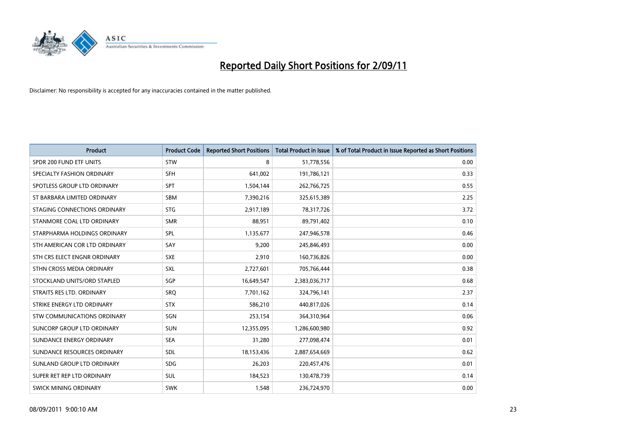

| Product                            | <b>Product Code</b> | <b>Reported Short Positions</b> | <b>Total Product in Issue</b> | % of Total Product in Issue Reported as Short Positions |
|------------------------------------|---------------------|---------------------------------|-------------------------------|---------------------------------------------------------|
| SPDR 200 FUND ETF UNITS            | <b>STW</b>          | 8                               | 51,778,556                    | 0.00                                                    |
| SPECIALTY FASHION ORDINARY         | <b>SFH</b>          | 641,002                         | 191,786,121                   | 0.33                                                    |
| SPOTLESS GROUP LTD ORDINARY        | <b>SPT</b>          | 1,504,144                       | 262,766,725                   | 0.55                                                    |
| ST BARBARA LIMITED ORDINARY        | <b>SBM</b>          | 7,390,216                       | 325,615,389                   | 2.25                                                    |
| STAGING CONNECTIONS ORDINARY       | <b>STG</b>          | 2,917,189                       | 78,317,726                    | 3.72                                                    |
| STANMORE COAL LTD ORDINARY         | <b>SMR</b>          | 88,951                          | 89,791,402                    | 0.10                                                    |
| STARPHARMA HOLDINGS ORDINARY       | SPL                 | 1,135,677                       | 247,946,578                   | 0.46                                                    |
| STH AMERICAN COR LTD ORDINARY      | SAY                 | 9,200                           | 245,846,493                   | 0.00                                                    |
| STH CRS ELECT ENGNR ORDINARY       | <b>SXE</b>          | 2,910                           | 160,736,826                   | 0.00                                                    |
| STHN CROSS MEDIA ORDINARY          | SXL                 | 2,727,601                       | 705,766,444                   | 0.38                                                    |
| STOCKLAND UNITS/ORD STAPLED        | SGP                 | 16,649,547                      | 2,383,036,717                 | 0.68                                                    |
| STRAITS RES LTD. ORDINARY          | <b>SRQ</b>          | 7,701,162                       | 324,796,141                   | 2.37                                                    |
| STRIKE ENERGY LTD ORDINARY         | <b>STX</b>          | 586,210                         | 440,817,026                   | 0.14                                                    |
| <b>STW COMMUNICATIONS ORDINARY</b> | SGN                 | 253,154                         | 364,310,964                   | 0.06                                                    |
| SUNCORP GROUP LTD ORDINARY         | <b>SUN</b>          | 12,355,095                      | 1,286,600,980                 | 0.92                                                    |
| SUNDANCE ENERGY ORDINARY           | <b>SEA</b>          | 31,280                          | 277,098,474                   | 0.01                                                    |
| SUNDANCE RESOURCES ORDINARY        | SDL                 | 18,153,436                      | 2,887,654,669                 | 0.62                                                    |
| SUNLAND GROUP LTD ORDINARY         | <b>SDG</b>          | 26,203                          | 220,457,476                   | 0.01                                                    |
| SUPER RET REP LTD ORDINARY         | SUL                 | 184,523                         | 130,478,739                   | 0.14                                                    |
| <b>SWICK MINING ORDINARY</b>       | <b>SWK</b>          | 1,548                           | 236,724,970                   | 0.00                                                    |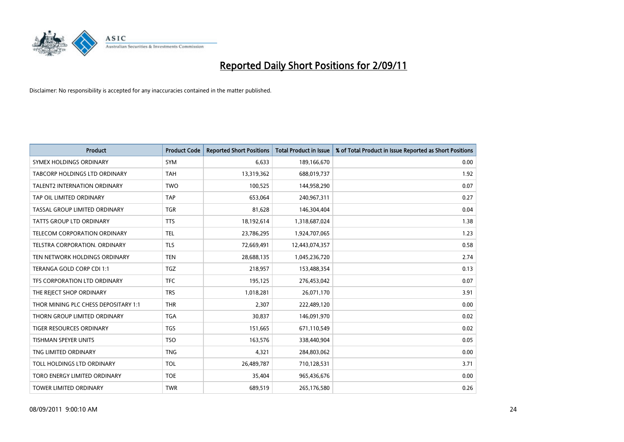

| Product                              | <b>Product Code</b> | <b>Reported Short Positions</b> | <b>Total Product in Issue</b> | % of Total Product in Issue Reported as Short Positions |
|--------------------------------------|---------------------|---------------------------------|-------------------------------|---------------------------------------------------------|
| SYMEX HOLDINGS ORDINARY              | <b>SYM</b>          | 6,633                           | 189,166,670                   | 0.00                                                    |
| TABCORP HOLDINGS LTD ORDINARY        | <b>TAH</b>          | 13,319,362                      | 688,019,737                   | 1.92                                                    |
| <b>TALENT2 INTERNATION ORDINARY</b>  | <b>TWO</b>          | 100,525                         | 144,958,290                   | 0.07                                                    |
| TAP OIL LIMITED ORDINARY             | <b>TAP</b>          | 653,064                         | 240,967,311                   | 0.27                                                    |
| TASSAL GROUP LIMITED ORDINARY        | <b>TGR</b>          | 81,628                          | 146,304,404                   | 0.04                                                    |
| <b>TATTS GROUP LTD ORDINARY</b>      | <b>TTS</b>          | 18,192,614                      | 1,318,687,024                 | 1.38                                                    |
| TELECOM CORPORATION ORDINARY         | <b>TEL</b>          | 23,786,295                      | 1,924,707,065                 | 1.23                                                    |
| TELSTRA CORPORATION. ORDINARY        | <b>TLS</b>          | 72,669,491                      | 12,443,074,357                | 0.58                                                    |
| TEN NETWORK HOLDINGS ORDINARY        | <b>TEN</b>          | 28,688,135                      | 1,045,236,720                 | 2.74                                                    |
| TERANGA GOLD CORP CDI 1:1            | <b>TGZ</b>          | 218,957                         | 153,488,354                   | 0.13                                                    |
| TFS CORPORATION LTD ORDINARY         | <b>TFC</b>          | 195,125                         | 276,453,042                   | 0.07                                                    |
| THE REJECT SHOP ORDINARY             | <b>TRS</b>          | 1,018,281                       | 26,071,170                    | 3.91                                                    |
| THOR MINING PLC CHESS DEPOSITARY 1:1 | <b>THR</b>          | 2,307                           | 222,489,120                   | 0.00                                                    |
| THORN GROUP LIMITED ORDINARY         | <b>TGA</b>          | 30,837                          | 146,091,970                   | 0.02                                                    |
| TIGER RESOURCES ORDINARY             | <b>TGS</b>          | 151,665                         | 671,110,549                   | 0.02                                                    |
| <b>TISHMAN SPEYER UNITS</b>          | <b>TSO</b>          | 163,576                         | 338,440,904                   | 0.05                                                    |
| TNG LIMITED ORDINARY                 | <b>TNG</b>          | 4,321                           | 284,803,062                   | 0.00                                                    |
| TOLL HOLDINGS LTD ORDINARY           | <b>TOL</b>          | 26,489,787                      | 710,128,531                   | 3.71                                                    |
| TORO ENERGY LIMITED ORDINARY         | <b>TOE</b>          | 35,404                          | 965,436,676                   | 0.00                                                    |
| TOWER LIMITED ORDINARY               | <b>TWR</b>          | 689,519                         | 265,176,580                   | 0.26                                                    |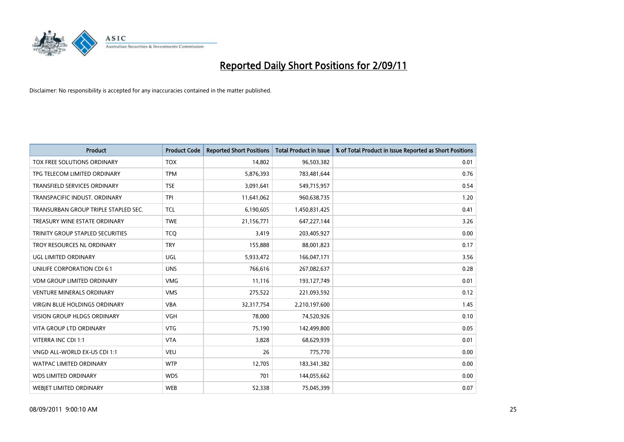

| Product                              | <b>Product Code</b> | <b>Reported Short Positions</b> | <b>Total Product in Issue</b> | % of Total Product in Issue Reported as Short Positions |
|--------------------------------------|---------------------|---------------------------------|-------------------------------|---------------------------------------------------------|
| TOX FREE SOLUTIONS ORDINARY          | <b>TOX</b>          | 14,802                          | 96,503,382                    | 0.01                                                    |
| TPG TELECOM LIMITED ORDINARY         | <b>TPM</b>          | 5,876,393                       | 783,481,644                   | 0.76                                                    |
| <b>TRANSFIELD SERVICES ORDINARY</b>  | <b>TSE</b>          | 3,091,641                       | 549,715,957                   | 0.54                                                    |
| TRANSPACIFIC INDUST. ORDINARY        | <b>TPI</b>          | 11,641,062                      | 960,638,735                   | 1.20                                                    |
| TRANSURBAN GROUP TRIPLE STAPLED SEC. | <b>TCL</b>          | 6,190,605                       | 1,450,831,425                 | 0.41                                                    |
| TREASURY WINE ESTATE ORDINARY        | <b>TWE</b>          | 21,156,771                      | 647,227,144                   | 3.26                                                    |
| TRINITY GROUP STAPLED SECURITIES     | <b>TCO</b>          | 3,419                           | 203,405,927                   | 0.00                                                    |
| TROY RESOURCES NL ORDINARY           | <b>TRY</b>          | 155,888                         | 88,001,823                    | 0.17                                                    |
| UGL LIMITED ORDINARY                 | UGL                 | 5,933,472                       | 166,047,171                   | 3.56                                                    |
| UNILIFE CORPORATION CDI 6:1          | <b>UNS</b>          | 766,616                         | 267,082,637                   | 0.28                                                    |
| VDM GROUP LIMITED ORDINARY           | <b>VMG</b>          | 11,116                          | 193,127,749                   | 0.01                                                    |
| <b>VENTURE MINERALS ORDINARY</b>     | <b>VMS</b>          | 275,522                         | 221,093,592                   | 0.12                                                    |
| VIRGIN BLUE HOLDINGS ORDINARY        | <b>VBA</b>          | 32,317,754                      | 2,210,197,600                 | 1.45                                                    |
| <b>VISION GROUP HLDGS ORDINARY</b>   | <b>VGH</b>          | 78,000                          | 74,520,926                    | 0.10                                                    |
| <b>VITA GROUP LTD ORDINARY</b>       | <b>VTG</b>          | 75,190                          | 142,499,800                   | 0.05                                                    |
| VITERRA INC CDI 1:1                  | <b>VTA</b>          | 3,828                           | 68,629,939                    | 0.01                                                    |
| VNGD ALL-WORLD EX-US CDI 1:1         | <b>VEU</b>          | 26                              | 775,770                       | 0.00                                                    |
| WATPAC LIMITED ORDINARY              | <b>WTP</b>          | 12,705                          | 183,341,382                   | 0.00                                                    |
| <b>WDS LIMITED ORDINARY</b>          | <b>WDS</b>          | 701                             | 144,055,662                   | 0.00                                                    |
| <b>WEBJET LIMITED ORDINARY</b>       | <b>WEB</b>          | 52,338                          | 75,045,399                    | 0.07                                                    |